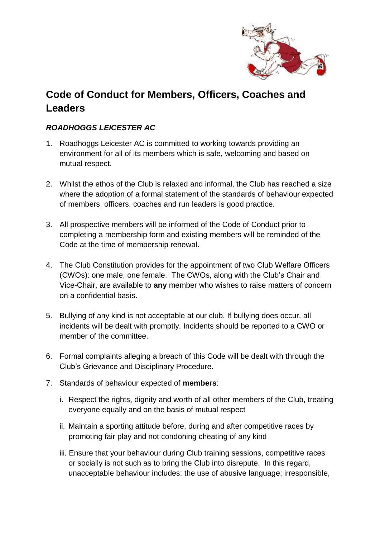

## **Code of Conduct for Members, Officers, Coaches and Leaders**

## *ROADHOGGS LEICESTER AC*

- 1. Roadhoggs Leicester AC is committed to working towards providing an environment for all of its members which is safe, welcoming and based on mutual respect.
- 2. Whilst the ethos of the Club is relaxed and informal, the Club has reached a size where the adoption of a formal statement of the standards of behaviour expected of members, officers, coaches and run leaders is good practice.
- 3. All prospective members will be informed of the Code of Conduct prior to completing a membership form and existing members will be reminded of the Code at the time of membership renewal.
- 4. The Club Constitution provides for the appointment of two Club Welfare Officers (CWOs): one male, one female. The CWOs, along with the Club's Chair and Vice-Chair, are available to **any** member who wishes to raise matters of concern on a confidential basis.
- 5. Bullying of any kind is not acceptable at our club. If bullying does occur, all incidents will be dealt with promptly. Incidents should be reported to a CWO or member of the committee.
- 6. Formal complaints alleging a breach of this Code will be dealt with through the Club's Grievance and Disciplinary Procedure.
- 7. Standards of behaviour expected of **members**:
	- i. Respect the rights, dignity and worth of all other members of the Club, treating everyone equally and on the basis of mutual respect
	- ii. Maintain a sporting attitude before, during and after competitive races by promoting fair play and not condoning cheating of any kind
	- iii. Ensure that your behaviour during Club training sessions, competitive races or socially is not such as to bring the Club into disrepute. In this regard, unacceptable behaviour includes: the use of abusive language; irresponsible,